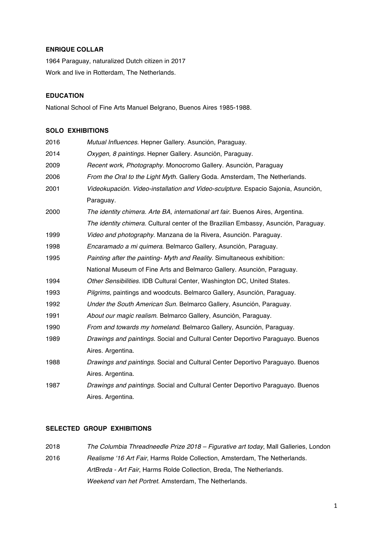# **ENRIQUE COLLAR**

1964 Paraguay, naturalized Dutch citizen in 2017 Work and live in Rotterdam, The Netherlands.

# **EDUCATION**

National School of Fine Arts Manuel Belgrano, Buenos Aires 1985-1988.

# **SOLO EXHIBITIONS**

| 2016 | Mutual Influences. Hepner Gallery. Asunción, Paraguay.                              |
|------|-------------------------------------------------------------------------------------|
| 2014 | Oxygen, 8 paintings. Hepner Gallery. Asunción, Paraguay.                            |
| 2009 | Recent work, Photography. Monocromo Gallery. Asunción, Paraguay                     |
| 2006 | From the Oral to the Light Myth. Gallery Goda. Amsterdam, The Netherlands.          |
| 2001 | Videokupación. Video-installation and Video-sculpture. Espacio Sajonia, Asunción,   |
|      | Paraguay.                                                                           |
| 2000 | The identity chimera. Arte BA, international art fair. Buenos Aires, Argentina.     |
|      | The identity chimera. Cultural center of the Brazilian Embassy, Asunción, Paraguay. |
| 1999 | Video and photography. Manzana de la Rivera, Asunción. Paraguay.                    |
| 1998 | Encaramado a mi quimera. Belmarco Gallery, Asunción, Paraguay.                      |
| 1995 | Painting after the painting- Myth and Reality. Simultaneous exhibition:             |
|      | National Museum of Fine Arts and Belmarco Gallery. Asunción, Paraguay.              |
| 1994 | Other Sensibilities. IDB Cultural Center, Washington DC, United States.             |
| 1993 | Pilgrims, paintings and woodcuts. Belmarco Gallery, Asunción, Paraguay.             |
| 1992 | Under the South American Sun. Belmarco Gallery, Asunción, Paraguay.                 |
| 1991 | About our magic realism. Belmarco Gallery, Asunción, Paraguay.                      |
| 1990 | From and towards my homeland. Belmarco Gallery, Asunción, Paraguay.                 |
| 1989 | Drawings and paintings. Social and Cultural Center Deportivo Paraguayo. Buenos      |
|      | Aires. Argentina.                                                                   |
| 1988 | Drawings and paintings. Social and Cultural Center Deportivo Paraguayo. Buenos      |
|      | Aires. Argentina.                                                                   |
| 1987 | Drawings and paintings. Social and Cultural Center Deportivo Paraguayo. Buenos      |
|      | Aires. Argentina.                                                                   |
|      |                                                                                     |

## **SELECTED GROUP EXHIBITIONS**

2018 *The Columbia Threadneedle Prize 2018 – Figurative art today*, Mall Galleries, London 2016 *Realisme '16 Art Fair*, Harms Rolde Collection, Amsterdam, The Netherlands. *ArtBreda - Art Fair*, Harms Rolde Collection, Breda, The Netherlands. *Weekend van het Portret*. Amsterdam, The Netherlands.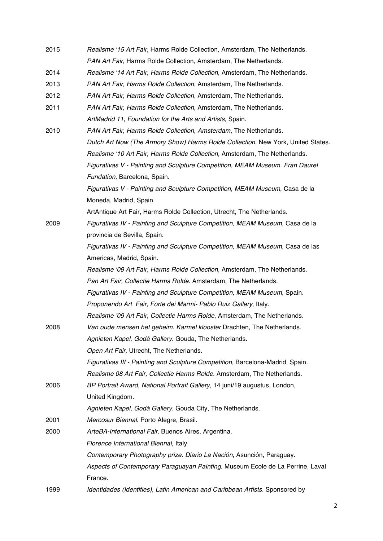| 2015 | Realisme '15 Art Fair, Harms Rolde Collection, Amsterdam, The Netherlands.       |
|------|----------------------------------------------------------------------------------|
|      | PAN Art Fair, Harms Rolde Collection, Amsterdam, The Netherlands.                |
| 2014 | Realisme '14 Art Fair, Harms Rolde Collection, Amsterdam, The Netherlands.       |
| 2013 | PAN Art Fair, Harms Rolde Collection, Amsterdam, The Netherlands.                |
| 2012 | PAN Art Fair, Harms Rolde Collection, Amsterdam, The Netherlands.                |
| 2011 | PAN Art Fair, Harms Rolde Collection, Amsterdam, The Netherlands.                |
|      | ArtMadrid 11, Foundation for the Arts and Artists, Spain.                        |
| 2010 | PAN Art Fair, Harms Rolde Collection, Amsterdam, The Netherlands.                |
|      | Dutch Art Now (The Armory Show) Harms Rolde Collection, New York, United States. |
|      | Realisme '10 Art Fair, Harms Rolde Collection, Amsterdam, The Netherlands.       |
|      | Figurativas V - Painting and Sculpture Competition, MEAM Museum. Fran Daurel     |
|      | Fundation, Barcelona, Spain.                                                     |
|      | Figurativas V - Painting and Sculpture Competition, MEAM Museum, Casa de la      |
|      | Moneda, Madrid, Spain                                                            |
|      | ArtAntique Art Fair, Harms Rolde Collection, Utrecht, The Netherlands.           |
| 2009 | Figurativas IV - Painting and Sculpture Competition, MEAM Museum, Casa de la     |
|      | provincia de Sevilla, Spain.                                                     |
|      | Figurativas IV - Painting and Sculpture Competition, MEAM Museum, Casa de las    |
|      | Americas, Madrid, Spain.                                                         |
|      | Realisme '09 Art Fair, Harms Rolde Collection, Amsterdam, The Netherlands.       |
|      | Pan Art Fair, Collectie Harms Rolde. Amsterdam, The Netherlands.                 |
|      | Figurativas IV - Painting and Sculpture Competition, MEAM Museum, Spain.         |
|      | Proponendo Art Fair, Forte dei Marmi- Pablo Ruiz Gallery, Italy.                 |
|      | Realisme '09 Art Fair, Collectie Harms Rolde, Amsterdam, The Netherlands.        |
| 2008 | Van oude mensen het geheim. Karmel klooster Drachten, The Netherlands.           |
|      | Agnieten Kapel, Godá Gallery. Gouda, The Netherlands.                            |
|      | Open Art Fair, Utrecht, The Netherlands.                                         |
|      | Figurativas III - Painting and Sculpture Competition, Barcelona-Madrid, Spain.   |
|      | Realisme 08 Art Fair, Collectie Harms Rolde. Amsterdam, The Netherlands.         |
| 2006 | BP Portrait Award, National Portrait Gallery, 14 juni/19 augustus, London,       |
|      | United Kingdom.                                                                  |
|      | Agnieten Kapel, Godá Gallery. Gouda City, The Netherlands.                       |
| 2001 | Mercosur Biennal. Porto Alegre, Brasil.                                          |
| 2000 | ArteBA-International Fair. Buenos Aires, Argentina.                              |
|      | Florence International Biennal, Italy                                            |
|      | Contemporary Photography prize. Diario La Nación, Asunción, Paraguay.            |
|      | Aspects of Contemporary Paraguayan Painting. Museum Ecole de La Perrine, Laval   |
|      | France.                                                                          |
| 1999 | Identidades (Identities), Latin American and Caribbean Artists. Sponsored by     |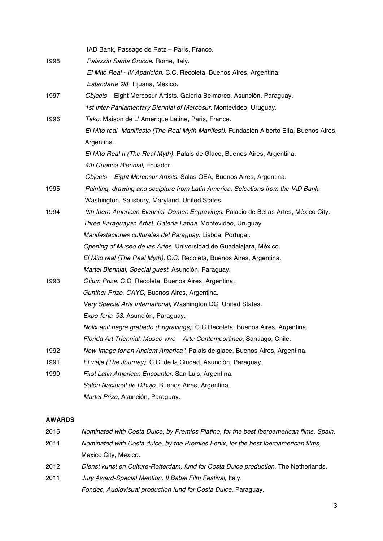|      | IAD Bank, Passage de Retz - Paris, France.                                               |
|------|------------------------------------------------------------------------------------------|
| 1998 | Palazzio Santa Crocce. Rome, Italy.                                                      |
|      | El Mito Real - IV Aparición. C.C. Recoleta, Buenos Aires, Argentina.                     |
|      | Estandarte '98. Tijuana, México.                                                         |
| 1997 | Objects - Eight Mercosur Artists. Galería Belmarco, Asunción, Paraguay.                  |
|      | 1st Inter-Parliamentary Biennial of Mercosur. Montevideo, Uruguay.                       |
| 1996 | Teko. Maison de L'Amerique Latine, Paris, France.                                        |
|      | El Mito real- Manifiesto (The Real Myth-Manifest). Fundación Alberto Elía, Buenos Aires, |
|      | Argentina.                                                                               |
|      | El Mito Real II (The Real Myth). Palais de Glace, Buenos Aires, Argentina.               |
|      | 4th Cuenca Biennial, Ecuador.                                                            |
|      | Objects - Eight Mercosur Artists. Salas OEA, Buenos Aires, Argentina.                    |
| 1995 | Painting, drawing and sculpture from Latin America. Selections from the IAD Bank.        |
|      | Washington, Salisbury, Maryland. United States.                                          |
| 1994 | 9th Ibero American Biennial-Domec Engravings. Palacio de Bellas Artes, México City.      |
|      | Three Paraguayan Artist. Galería Latina. Montevideo, Uruguay.                            |
|      | Manifestaciones culturales del Paraguay. Lisboa, Portugal.                               |
|      | Opening of Museo de las Artes. Universidad de Guadalajara, México.                       |
|      | El Mito real (The Real Myth). C.C. Recoleta, Buenos Aires, Argentina.                    |
|      | Martel Biennial, Special guest. Asunción, Paraguay.                                      |
| 1993 | Otium Prize. C.C. Recoleta, Buenos Aires, Argentina.                                     |
|      | Gunther Prize. CAYC, Buenos Aires, Argentina.                                            |
|      | Very Special Arts International, Washington DC, United States.                           |
|      | Expo-feria '93. Asunción, Paraguay.                                                      |
|      | Nolix anit negra grabado (Engravings). C.C. Recoleta, Buenos Aires, Argentina.           |
|      | Florida Art Triennial. Museo vivo - Arte Contemporáneo, Santiago, Chile.                 |
| 1992 | New Image for an Ancient America". Palais de glace, Buenos Aires, Argentina.             |
| 1991 | El viaje (The Journey). C.C. de la Ciudad, Asunción, Paraguay.                           |
| 1990 | First Latin American Encounter. San Luis, Argentina.                                     |
|      | Salón Nacional de Dibujo. Buenos Aires, Argentina.                                       |
|      | Martel Prize, Asunción, Paraguay.                                                        |

# **AWARDS**

| 2015 | Nominated with Costa Dulce, by Premios Platino, for the best Iberoamerican films, Spain. |
|------|------------------------------------------------------------------------------------------|
| 2014 | Nominated with Costa dulce, by the Premios Fenix, for the best Iberoamerican films,      |
|      | Mexico City, Mexico.                                                                     |
| 2012 | Dienst kunst en Culture-Rotterdam, fund for Costa Dulce production. The Netherlands.     |
| 2011 | Jury Award-Special Mention, Il Babel Film Festival, Italy.                               |
|      | Fondec, Audiovisual production fund for Costa Dulce. Paraguay.                           |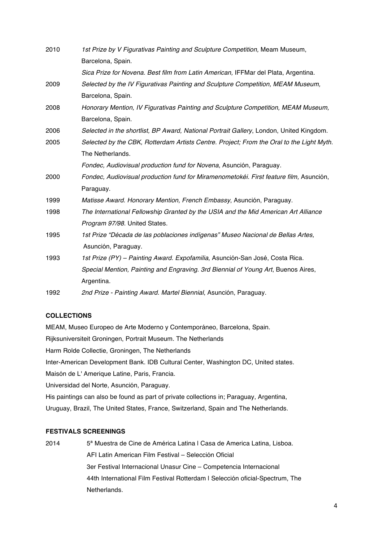| 2010 | 1st Prize by V Figurativas Painting and Sculpture Competition, Meam Museum,              |
|------|------------------------------------------------------------------------------------------|
|      | Barcelona, Spain.                                                                        |
|      | Sica Prize for Novena. Best film from Latin American, IFFMar del Plata, Argentina.       |
| 2009 | Selected by the IV Figurativas Painting and Sculpture Competition, MEAM Museum,          |
|      | Barcelona, Spain.                                                                        |
| 2008 | Honorary Mention, IV Figurativas Painting and Sculpture Competition, MEAM Museum,        |
|      | Barcelona, Spain.                                                                        |
| 2006 | Selected in the shortlist, BP Award, National Portrait Gallery, London, United Kingdom.  |
| 2005 | Selected by the CBK, Rotterdam Artists Centre. Project; From the Oral to the Light Myth. |
|      | The Netherlands.                                                                         |
|      | Fondec, Audiovisual production fund for Novena, Asunción, Paraguay.                      |
| 2000 | Fondec, Audiovisual production fund for Miramenometokéi. First feature film, Asunción,   |
|      | Paraguay.                                                                                |
| 1999 | Matisse Award. Honorary Mention, French Embassy, Asunción, Paraguay.                     |
| 1998 | The International Fellowship Granted by the USIA and the Mid American Art Alliance       |
|      | Program 97/98. United States.                                                            |
| 1995 | 1st Prize "Década de las poblaciones indígenas" Museo Nacional de Bellas Artes,          |
|      | Asunción, Paraguay.                                                                      |
| 1993 | 1st Prize (PY) – Painting Award. Expofamilia, Asunción-San José, Costa Rica.             |
|      | Special Mention, Painting and Engraving. 3rd Biennial of Young Art, Buenos Aires,        |
|      | Argentina.                                                                               |
| 1992 | 2nd Prize - Painting Award. Martel Biennial, Asunción, Paraguay.                         |

## **COLLECTIONS**

MEAM, Museo Europeo de Arte Moderno y Contemporáneo, Barcelona, Spain. Rijksuniversiteit Groningen, Portrait Museum. The Netherlands Harm Rolde Collectie, Groningen, The Netherlands Inter-American Development Bank. IDB Cultural Center, Washington DC, United states. Maisón de L' Amerique Latine, Paris, Francia. Universidad del Norte, Asunción, Paraguay. His paintings can also be found as part of private collections in; Paraguay, Argentina, Uruguay, Brazil, The United States, France, Switzerland, Spain and The Netherlands.

# **FESTIVALS SCREENINGS**

2014 <sup>5ª</sup> Muestra de Cine de América Latina | Casa de America Latina, Lisboa. AFI Latin American Film Festival – Selección Oficial 3er Festival Internacional Unasur Cine – Competencia Internacional 44th International Film Festival Rotterdam I Selección oficial-Spectrum, The Netherlands.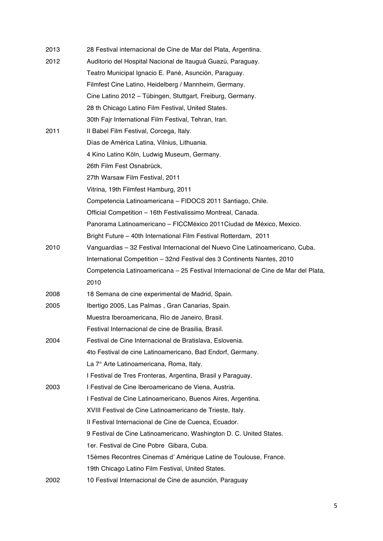| 2013 | 28 Festival internacional de Cine de Mar del Plata, Argentina.                    |
|------|-----------------------------------------------------------------------------------|
| 2012 | Auditorio del Hospital Nacional de Itauguá Guazú, Paraguay.                       |
|      | Teatro Municipal Ignacio E. Pané, Asunción, Paraguay.                             |
|      | Filmfest Cine Latino, Heidelberg / Mannheim, Germany.                             |
|      | Cine Latino 2012 – Tübingen, Stuttgart, Freiburg, Germany.                        |
|      | 28 th Chicago Latino Film Festival, United States.                                |
|      | 30th Fajr International Film Festival, Tehran, Iran.                              |
| 2011 | Il Babel Film Festival, Corcega, Italy.                                           |
|      | Días de América Latina, Vilnius, Lithuania.                                       |
|      | 4 Kino Latino Köln, Ludwig Museum, Germany.                                       |
|      | 26th Film Fest Osnabrück,                                                         |
|      | 27th Warsaw Film Festival, 2011                                                   |
|      | Vitrina, 19th Filmfest Hamburg, 2011                                              |
|      | Competencia Latinoamericana - FIDOCS 2011 Santiago, Chile.                        |
|      | Official Competition - 16th Festivalissimo Montreal, Canada.                      |
|      | Panorama Latinoamericano - FICCMéxico 2011 Ciudad de México, Mexico.              |
|      | Bright Future - 40th International Film Festival Rotterdam, 2011                  |
| 2010 | Vanguardias - 32 Festival Internacional del Nuevo Cine Latinoamericano, Cuba.     |
|      | International Competition - 32nd Festival des 3 Continents Nantes, 2010           |
|      | Competencia Latinoamericana - 25 Festival Internacional de Cine de Mar del Plata, |
|      | 2010                                                                              |
| 2008 | 18 Semana de cine experimental de Madrid, Spain.                                  |
| 2005 | Ibertigo 2005, Las Palmas, Gran Canarias, Spain.                                  |
|      | Muestra Iberoamericana, Río de Janeiro, Brasil.                                   |
|      | Festival Internacional de cine de Brasilia, Brasil.                               |
| 2004 | Festival de Cine Internacional de Bratislava, Eslovenia.                          |
|      | 4to Festival de cine Latinoamericano, Bad Endorf, Germany.                        |
|      | La 7° Arte Latinoamericana, Roma, Italy.                                          |
|      | I Festival de Tres Fronteras, Argentina, Brasil y Paraguay.                       |
| 2003 | I Festival de Cine Iberoamericano de Viena, Austria.                              |
|      | I Festival de Cine Latinoamericano, Buenos Aires, Argentina.                      |
|      | XVIII Festival de Cine Latinoamericano de Trieste, Italy.                         |
|      | Il Festival Internacional de Cine de Cuenca, Ecuador.                             |
|      | 9 Festival de Cine Latinoamericano, Washington D. C. United States.               |
|      | 1er. Festival de Cine Pobre Gibara, Cuba.                                         |
|      | 15èmes Recontres Cinemas d'Amérique Latine de Toulouse, France.                   |
|      | 19th Chicago Latino Film Festival, United States.                                 |
| 2002 | 10 Festival Internacional de Cine de asunción, Paraguay                           |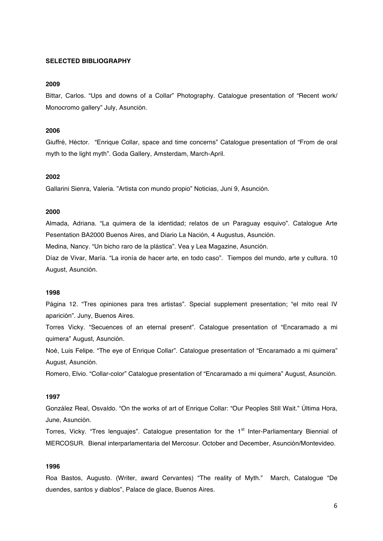### **SELECTED BIBLIOGRAPHY**

## **2009**

Bittar, Carlos. "Ups and downs of a Collar" Photography. Catalogue presentation of "Recent work/ Monocromo gallery" July, Asunción.

## **2006**

Giuffré, Héctor. "Enrique Collar, space and time concerns" Catalogue presentation of "From de oral myth to the light myth". Goda Gallery, Amsterdam, March-April.

#### **2002**

Gallarini Sienra, Valeria. "Artista con mundo propio" Noticias, Juni 9, Asunción.

## **2000**

Almada, Adriana. "La quimera de la identidad; relatos de un Paraguay esquivo". Catalogue Arte Pesentation BA2000 Buenos Aires, and Diario La Nación, 4 Augustus, Asunción.

Medina, Nancy. "Un bicho raro de la plástica". Vea y Lea Magazine, Asunción.

Díaz de Vivar, María. "La ironía de hacer arte, en todo caso". Tiempos del mundo, arte y cultura. 10 August, Asunción.

### **1998**

Página 12. "Tres opiniones para tres artistas". Special supplement presentation; "el mito real IV aparición". Juny, Buenos Aires.

Torres Vicky. "Secuences of an eternal present". Catalogue presentation of "Encaramado a mi quimera" August, Asunción.

Noé, Luis Felipe. "The eye of Enrique Collar". Catalogue presentation of "Encaramado a mi quimera" August, Asunción.

Romero, Elvio. "Collar-color" Catalogue presentation of "Encaramado a mi quimera" August, Asunción.

### **1997**

González Real, Osvaldo. "On the works of art of Enrique Collar: "Our Peoples Still Wait." Última Hora, June, Asunción.

Torres, Vicky. "Tres lenguajes". Catalogue presentation for the 1<sup>st</sup> Inter-Parliamentary Biennial of MERCOSUR. Bienal interparlamentaria del Mercosur. October and December, Asunción/Montevideo.

## **1996**

Roa Bastos, Augusto. (Writer, award Cervantes) "The reality of Myth." March, Catalogue "De duendes, santos y diablos", Palace de glace, Buenos Aires.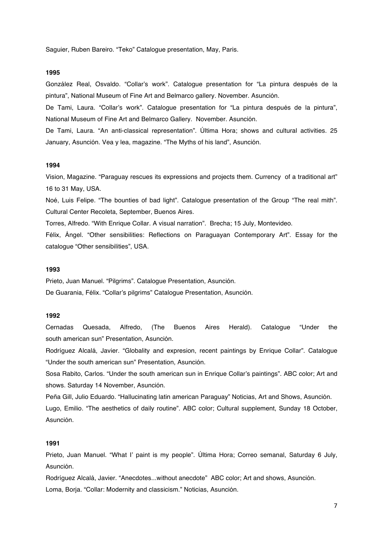Saguier, Ruben Bareiro. "Teko" Catalogue presentation, May, Paris.

#### **1995**

González Real, Osvaldo. "Collar's work". Catalogue presentation for "La pintura después de la pintura", National Museum of Fine Art and Belmarco gallery. November. Asunción.

De Tami, Laura. "Collar's work". Catalogue presentation for "La pintura después de la pintura", National Museum of Fine Art and Belmarco Gallery. November. Asunción.

De Tami, Laura. "An anti-classical representation". Última Hora; shows and cultural activities. 25 January, Asunción. Vea y lea, magazine. "The Myths of his land", Asunción.

## **1994**

Vision, Magazine. "Paraguay rescues its expressions and projects them. Currency of a traditional art" 16 to 31 May, USA.

Noé, Luis Felipe. "The bounties of bad light". Catalogue presentation of the Group "The real mith". Cultural Center Recoleta, September, Buenos Aires.

Torres, Alfredo. "With Enrique Collar. A visual narration". Brecha; 15 July, Montevideo.

Félix, Ángel. "Other sensibilities: Reflections on Paraguayan Contemporary Art". Essay for the catalogue "Other sensibilities", USA.

#### **1993**

Prieto, Juan Manuel. "Pilgrims". Catalogue Presentation, Asunción. De Guarania, Félix. "Collar's pilgrims" Catalogue Presentation, Asunción.

#### **1992**

Cernadas Quesada, Alfredo, (The Buenos Aires Herald). Catalogue "Under the south american sun" Presentation, Asunción.

Rodríguez Alcalá, Javier. "Globality and expresion, recent paintings by Enrique Collar". Catalogue "Under the south american sun" Presentation, Asunción.

Sosa Rabito, Carlos. "Under the south american sun in Enrique Collar's paintings". ABC color; Art and shows. Saturday 14 November, Asunción.

Peña Gill, Julio Eduardo. "Hallucinating latin american Paraguay" Noticias, Art and Shows, Asunción. Lugo, Emilio. "The aesthetics of daily routine". ABC color; Cultural supplement, Sunday 18 October, Asunción.

#### **1991**

Prieto, Juan Manuel. "What I' paint is my people". Última Hora; Correo semanal, Saturday 6 July, Asunción.

Rodríguez Alcalá, Javier. "Anecdotes...without anecdote" ABC color; Art and shows, Asunción. Loma, Borja. "Collar: Modernity and classicism." Noticias, Asunción.